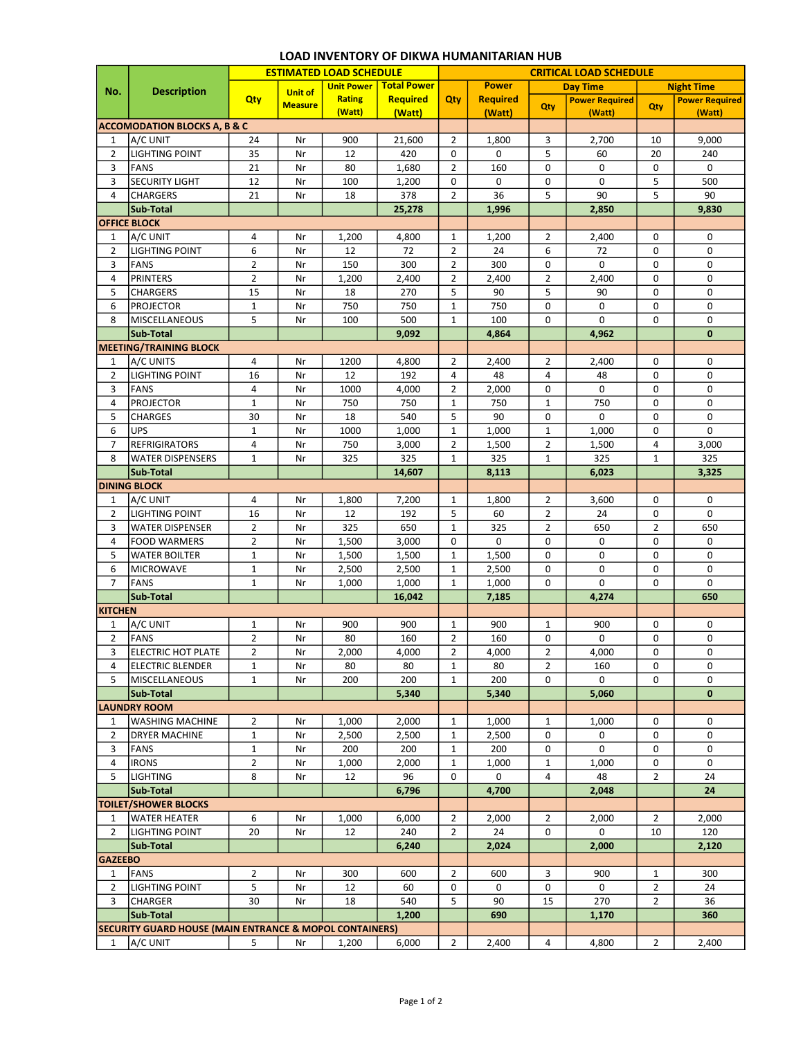## LOAD INVENTORY OF DIKWA HUMANITARIAN HUB

|                                                                    |                                         | <b>ESTIMATED LOAD SCHEDULE</b> |                |               |                          | <b>CRITICAL LOAD SCHEDULE</b> |                 |                 |                       |                   |                       |  |
|--------------------------------------------------------------------|-----------------------------------------|--------------------------------|----------------|---------------|--------------------------|-------------------------------|-----------------|-----------------|-----------------------|-------------------|-----------------------|--|
| No.                                                                |                                         |                                | <b>Unit of</b> |               | Unit Power   Total Power |                               | <b>Power</b>    | <b>Day Time</b> |                       | <b>Night Time</b> |                       |  |
|                                                                    | <b>Description</b>                      | Qty                            | <b>Measure</b> | <b>Rating</b> | <b>Required</b>          | Qty                           | <b>Required</b> |                 | <b>Power Required</b> |                   | <b>Power Required</b> |  |
|                                                                    |                                         |                                |                | (Watt)        | (Watt)                   |                               | (Watt)          | Qty             | (Watt)                | Qty               | (Watt)                |  |
|                                                                    | <b>ACCOMODATION BLOCKS A, B &amp; C</b> |                                |                |               |                          |                               |                 |                 |                       |                   |                       |  |
| $\mathbf{1}$                                                       | A/C UNIT                                | 24                             | Nr             | 900           | 21,600                   | $\overline{2}$                | 1,800           | 3               | 2,700                 | 10                | 9,000                 |  |
| $\overline{2}$                                                     | <b>LIGHTING POINT</b>                   | 35                             | Nr             | 12            | 420                      | 0                             | 0               | 5               | 60                    | 20                | 240                   |  |
| 3                                                                  | FANS                                    | 21                             | Nr             | 80            | 1,680                    | $\overline{2}$                | 160             | 0               | 0                     | 0                 | 0                     |  |
| 3                                                                  | <b>SECURITY LIGHT</b>                   | 12                             | Nr             | 100           | 1,200                    | 0                             | 0               | 0               | 0                     | 5                 | 500                   |  |
| $\overline{4}$                                                     | <b>CHARGERS</b>                         | 21                             | Nr             | 18            | 378                      | $\overline{2}$                | 36              | 5               | 90                    | 5                 | 90                    |  |
|                                                                    | <b>Sub-Total</b>                        |                                |                |               | 25,278                   |                               | 1,996           |                 | 2,850                 |                   | 9,830                 |  |
|                                                                    | <b>OFFICE BLOCK</b>                     |                                |                |               |                          |                               |                 |                 |                       |                   |                       |  |
| $\mathbf{1}$                                                       | A/C UNIT                                | 4                              | Nr             | 1,200         | 4,800                    | $\mathbf{1}$                  | 1,200           | 2               | 2,400                 | 0                 | 0                     |  |
| $\overline{2}$                                                     | <b>LIGHTING POINT</b>                   | 6                              | Nr             | 12            | 72                       | $\overline{2}$                | 24              | 6               | 72                    | 0                 | $\mathbf 0$           |  |
| 3                                                                  | <b>FANS</b>                             | $\overline{2}$                 | Nr             | 150           | 300                      | $\overline{2}$                | 300             | 0               | 0                     | 0                 | 0                     |  |
| 4                                                                  | <b>PRINTERS</b>                         | $\overline{2}$                 | Nr             | 1,200         | 2,400                    | $\overline{2}$                | 2,400           | $\overline{2}$  | 2,400                 | 0                 | 0                     |  |
| 5                                                                  | <b>CHARGERS</b>                         | 15                             | Nr             | 18            | 270                      | 5                             | 90              | 5               | 90                    | $\mathbf 0$       | 0                     |  |
| 6                                                                  | <b>PROJECTOR</b>                        | $\mathbf 1$                    | Nr             | 750           | 750                      | $\mathbf 1$                   | 750             | 0               | 0                     | 0                 | 0                     |  |
| 8                                                                  | <b>MISCELLANEOUS</b>                    | 5                              | Nr             | 100           | 500                      | $\mathbf{1}$                  | 100             | 0               | 0                     | 0                 | $\mathbf 0$           |  |
|                                                                    | Sub-Total                               |                                |                |               | 9,092                    |                               | 4,864           |                 | 4,962                 |                   | $\bf{0}$              |  |
|                                                                    | <b>MEETING/TRAINING BLOCK</b>           |                                |                |               |                          |                               |                 |                 |                       |                   |                       |  |
| $\mathbf{1}$                                                       | A/C UNITS                               | 4                              | Nr             | 1200          | 4,800                    | 2                             | 2,400           | 2               | 2,400                 | 0                 | 0                     |  |
| $\overline{2}$                                                     | <b>LIGHTING POINT</b>                   | 16                             | Nr             | 12            | 192                      | 4                             | 48              | 4               | 48                    | $\mathbf 0$       | $\mathbf 0$           |  |
| 3                                                                  | <b>FANS</b>                             | 4                              | Nr             | 1000          | 4,000                    | $\overline{2}$                | 2,000           | 0               | 0                     | 0                 | $\mathbf 0$           |  |
| 4                                                                  | <b>PROJECTOR</b>                        | $1\,$                          | Nr             | 750           | 750                      | $\mathbf 1$                   | 750             | $\mathbf{1}$    | 750                   | $\mathbf 0$       | $\mathbf 0$           |  |
| 5                                                                  | <b>CHARGES</b>                          | 30                             | Nr             | 18            | 540                      | 5                             | 90              | 0               | $\Omega$              | 0                 | 0                     |  |
| 6                                                                  | <b>UPS</b>                              | $1\,$                          | Nr             | 1000          | 1,000                    | $\mathbf 1$                   | 1,000           | $\mathbf{1}$    | 1,000                 | $\mathbf 0$       | $\pmb{0}$             |  |
| 7                                                                  | <b>REFRIGIRATORS</b>                    | 4                              | Nr             | 750           | 3,000                    | $\overline{2}$                | 1,500           | $\overline{2}$  | 1,500                 | 4                 | 3,000                 |  |
| 8                                                                  | <b>WATER DISPENSERS</b>                 | $\mathbf{1}$                   | Nr             | 325           | 325                      | $\mathbf 1$                   | 325             | $\mathbf{1}$    | 325                   | $\mathbf{1}$      | 325                   |  |
|                                                                    | <b>Sub-Total</b>                        |                                |                |               | 14,607                   |                               | 8,113           |                 | 6,023                 |                   | 3,325                 |  |
|                                                                    | <b>DINING BLOCK</b>                     |                                |                |               |                          |                               |                 |                 |                       |                   |                       |  |
| $\mathbf{1}$                                                       | $A/C$ UNIT                              | 4                              | Nr             | 1,800         | 7,200                    | $\mathbf{1}$                  | 1,800           | $\overline{2}$  | 3,600                 | 0                 | 0                     |  |
| $\overline{2}$                                                     | <b>LIGHTING POINT</b>                   | 16                             | Nr             | 12            | 192                      | 5                             | 60              | $\overline{2}$  | 24                    | $\mathbf 0$       | $\mathbf 0$           |  |
| 3                                                                  | <b>WATER DISPENSER</b>                  | $\overline{2}$                 | Nr             | 325           | 650                      | $\mathbf{1}$                  | 325             | $\overline{2}$  | 650                   | $\overline{2}$    | 650                   |  |
| $\overline{4}$                                                     | <b>FOOD WARMERS</b>                     | $\overline{2}$                 | Nr             | 1,500         | 3,000                    | 0                             | 0               | 0               | 0                     | 0                 | 0                     |  |
| 5                                                                  | <b>WATER BOILTER</b>                    | $\mathbf{1}$                   | Nr             | 1,500         | 1,500                    | $\mathbf{1}$                  | 1,500           | 0               | 0                     | $\mathbf 0$       | $\mathbf 0$           |  |
| 6                                                                  | <b>MICROWAVE</b>                        | $1\,$                          | Nr             | 2,500         | 2,500                    | $\mathbf{1}$                  | 2,500           | 0               | 0                     | 0                 | 0                     |  |
| $\overline{7}$                                                     | <b>FANS</b>                             | $\mathbf 1$                    | Nr             | 1,000         | 1,000                    | $\mathbf{1}$                  | 1,000           | 0               | 0                     | 0                 | $\mathbf 0$           |  |
|                                                                    | <b>Sub-Total</b>                        |                                |                |               | 16,042                   |                               | 7,185           |                 | 4,274                 |                   | 650                   |  |
| <b>KITCHEN</b>                                                     |                                         |                                |                |               |                          |                               |                 |                 |                       |                   |                       |  |
| $\mathbf{1}$                                                       | A/C UNIT                                | $\mathbf{1}$                   | Nr             | 900           | 900                      | $\mathbf 1$                   | 900             | 1               | 900                   | 0                 | 0                     |  |
| $\overline{2}$                                                     | FANS                                    | $\overline{2}$                 | Nr             | 80            | 160                      | $\overline{2}$                | 160             | 0               | 0                     | 0                 | 0                     |  |
| $\overline{\mathbf{3}}$                                            | ELECTRIC HOT PLATE                      | $\mathbf 2$                    | Nr             | 2,000         | 4,000                    | $\overline{2}$                | 4,000           | $\mathbf{2}$    | 4,000                 | 0                 | $\pmb{0}$             |  |
| 4                                                                  | ELECTRIC BLENDER                        | $\mathbf{1}$                   | Nr             | 80            | 80                       | $\mathbf{1}$                  | 80              | $\overline{2}$  | 160                   | 0                 | 0                     |  |
| 5                                                                  | <b>MISCELLANEOUS</b>                    | $\mathbf{1}$                   | Nr             | 200           | 200                      | $\mathbf{1}$                  | 200             | 0               | 0                     | 0                 | 0                     |  |
|                                                                    | Sub-Total                               |                                |                |               | 5,340                    |                               | 5,340           |                 | 5,060                 |                   | $\mathbf 0$           |  |
|                                                                    | <b>LAUNDRY ROOM</b>                     |                                |                |               |                          |                               |                 |                 |                       |                   |                       |  |
| 1                                                                  | <b>WASHING MACHINE</b>                  | $\overline{2}$                 | Nr             | 1,000         | 2,000                    | $\mathbf{1}$                  | 1,000           | $\mathbf{1}$    | 1,000                 | 0                 | 0                     |  |
| $\overline{2}$                                                     | <b>DRYER MACHINE</b>                    | $\mathbf 1$                    | Nr             | 2,500         | 2,500                    | $\mathbf{1}$                  | 2,500           | 0               | 0                     | 0                 | $\mathbf 0$           |  |
| 3                                                                  | <b>FANS</b>                             | $\mathbf{1}$                   | Nr             | 200           | 200                      | $\mathbf{1}$                  | 200             | 0               | 0                     | 0                 | 0                     |  |
| 4                                                                  | <b>IRONS</b>                            | $\overline{2}$                 | Nr             | 1,000         | 2,000                    | $\mathbf{1}$                  | 1,000           | 1               | 1,000                 | 0                 | 0                     |  |
| 5                                                                  | <b>LIGHTING</b>                         | 8                              | Nr             | 12            | 96                       | 0                             | 0               | 4               | 48                    | $\overline{2}$    | 24                    |  |
|                                                                    | Sub-Total                               |                                |                |               | 6,796                    |                               | 4,700           |                 | 2,048                 |                   | 24                    |  |
|                                                                    | <b>TOILET/SHOWER BLOCKS</b>             |                                |                |               |                          |                               |                 |                 |                       |                   |                       |  |
| 1                                                                  | <b>WATER HEATER</b>                     | 6                              | Nr             | 1,000         | 6,000                    | $\overline{2}$                | 2,000           | $\overline{2}$  | 2,000                 | $\overline{2}$    | 2,000                 |  |
| $\overline{2}$                                                     | LIGHTING POINT                          | 20                             | Nr             | 12            | 240                      | $\overline{2}$                | 24              | 0               | 0                     | 10                | 120                   |  |
|                                                                    | Sub-Total                               |                                |                |               | 6,240                    |                               | 2,024           |                 | 2,000                 |                   | 2,120                 |  |
| <b>GAZEEBO</b>                                                     |                                         |                                |                |               |                          |                               |                 |                 |                       |                   |                       |  |
| $\mathbf{1}$                                                       | FANS                                    | $\overline{2}$                 | Nr             | 300           | 600                      | $\overline{2}$                | 600             | 3               | 900                   | 1                 | 300                   |  |
| $\overline{2}$                                                     | LIGHTING POINT                          | 5                              | Nr             | 12            | 60                       | 0                             | 0               | 0               | 0                     | $\overline{2}$    | 24                    |  |
| 3                                                                  | <b>CHARGER</b>                          | 30                             | Nr             | 18            | 540                      | 5                             | 90              | 15              | 270                   | $\overline{2}$    | 36                    |  |
|                                                                    | Sub-Total                               |                                |                |               | 1,200                    |                               | 690             |                 | 1,170                 |                   | 360                   |  |
| <b>SECURITY GUARD HOUSE (MAIN ENTRANCE &amp; MOPOL CONTAINERS)</b> |                                         |                                |                |               |                          |                               |                 |                 |                       |                   |                       |  |
| $\mathbf{1}$                                                       | A/C UNIT                                | 5                              | Nr             | 1,200         | 6,000                    | $\overline{2}$                | 2,400           | 4               | 4,800                 | $\overline{2}$    | 2,400                 |  |
|                                                                    |                                         |                                |                |               |                          |                               |                 |                 |                       |                   |                       |  |